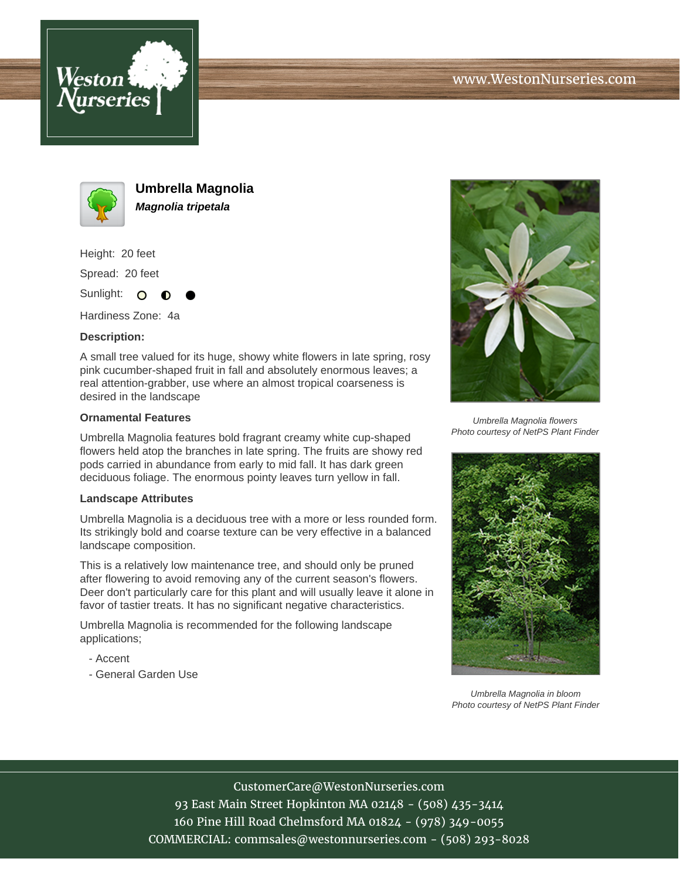



**Umbrella Magnolia Magnolia tripetala**

Height: 20 feet

Spread: 20 feet

Sunlight: O ∩

Hardiness Zone: 4a

## **Description:**

A small tree valued for its huge, showy white flowers in late spring, rosy pink cucumber-shaped fruit in fall and absolutely enormous leaves; a real attention-grabber, use where an almost tropical coarseness is desired in the landscape

## **Ornamental Features**

Umbrella Magnolia features bold fragrant creamy white cup-shaped flowers held atop the branches in late spring. The fruits are showy red pods carried in abundance from early to mid fall. It has dark green deciduous foliage. The enormous pointy leaves turn yellow in fall.

## **Landscape Attributes**

Umbrella Magnolia is a deciduous tree with a more or less rounded form. Its strikingly bold and coarse texture can be very effective in a balanced landscape composition.

This is a relatively low maintenance tree, and should only be pruned after flowering to avoid removing any of the current season's flowers. Deer don't particularly care for this plant and will usually leave it alone in favor of tastier treats. It has no significant negative characteristics.

Umbrella Magnolia is recommended for the following landscape applications;

- Accent
- General Garden Use



Umbrella Magnolia flowers Photo courtesy of NetPS Plant Finder



Umbrella Magnolia in bloom Photo courtesy of NetPS Plant Finder

CustomerCare@WestonNurseries.com 93 East Main Street Hopkinton MA 02148 - (508) 435-3414 160 Pine Hill Road Chelmsford MA 01824 - (978) 349-0055 COMMERCIAL: commsales@westonnurseries.com - (508) 293-8028